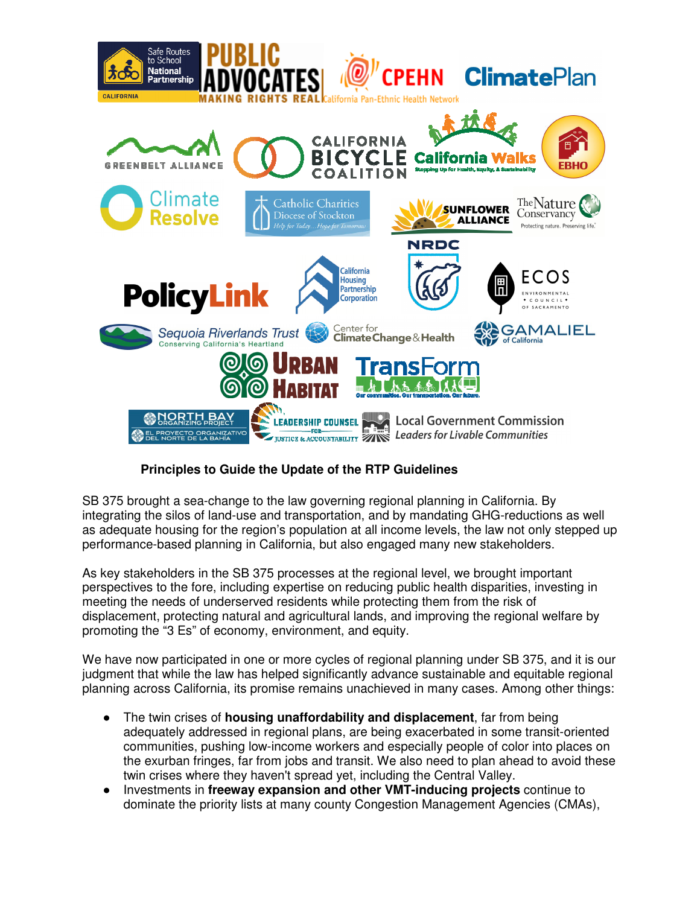

## **Principles to Guide the Update of the RTP Guidelines**

SB 375 brought a sea-change to the law governing regional planning in California. By integrating the silos of land-use and transportation, and by mandating GHG-reductions as well as adequate housing for the region's population at all income levels, the law not only stepped up performance-based planning in California, but also engaged many new stakeholders.

As key stakeholders in the SB 375 processes at the regional level, we brought important perspectives to the fore, including expertise on reducing public health disparities, investing in meeting the needs of underserved residents while protecting them from the risk of displacement, protecting natural and agricultural lands, and improving the regional welfare by promoting the "3 Es" of economy, environment, and equity.

We have now participated in one or more cycles of regional planning under SB 375, and it is our judgment that while the law has helped significantly advance sustainable and equitable regional planning across California, its promise remains unachieved in many cases. Among other things:

- The twin crises of **housing unaffordability and displacement**, far from being adequately addressed in regional plans, are being exacerbated in some transit-oriented communities, pushing low-income workers and especially people of color into places on the exurban fringes, far from jobs and transit. We also need to plan ahead to avoid these twin crises where they haven't spread yet, including the Central Valley.
- Investments in **freeway expansion and other VMT-inducing projects** continue to dominate the priority lists at many county Congestion Management Agencies (CMAs),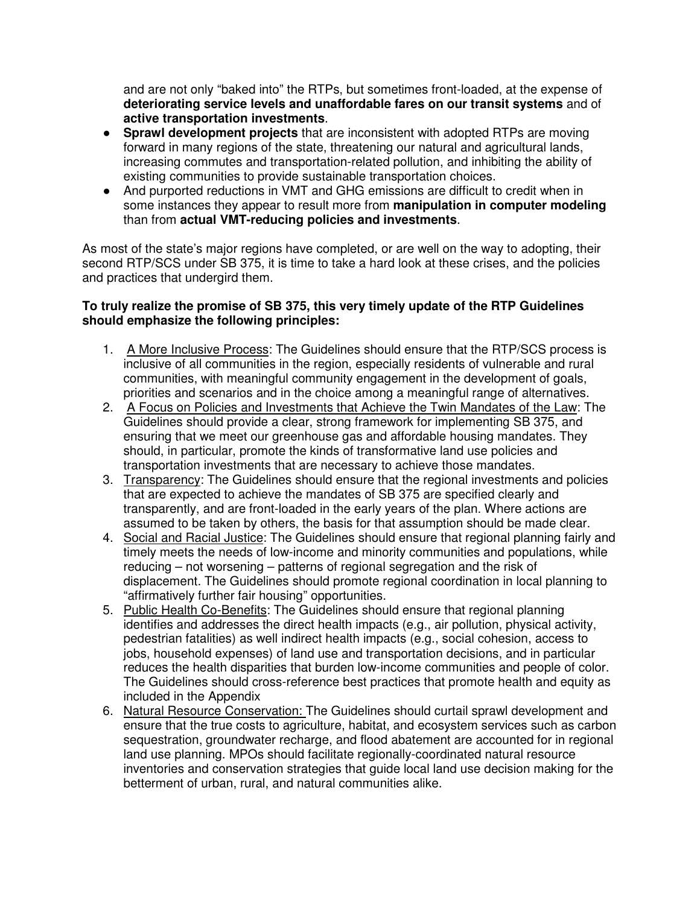and are not only "baked into" the RTPs, but sometimes front-loaded, at the expense of **deteriorating service levels and unaffordable fares on our transit systems** and of **active transportation investments**.

- **Sprawl development projects** that are inconsistent with adopted RTPs are moving forward in many regions of the state, threatening our natural and agricultural lands, increasing commutes and transportation-related pollution, and inhibiting the ability of existing communities to provide sustainable transportation choices.
- And purported reductions in VMT and GHG emissions are difficult to credit when in some instances they appear to result more from **manipulation in computer modeling** than from **actual VMT-reducing policies and investments**.

As most of the state's major regions have completed, or are well on the way to adopting, their second RTP/SCS under SB 375, it is time to take a hard look at these crises, and the policies and practices that undergird them.

## **To truly realize the promise of SB 375, this very timely update of the RTP Guidelines should emphasize the following principles:**

- 1. A More Inclusive Process: The Guidelines should ensure that the RTP/SCS process is inclusive of all communities in the region, especially residents of vulnerable and rural communities, with meaningful community engagement in the development of goals, priorities and scenarios and in the choice among a meaningful range of alternatives.
- 2. A Focus on Policies and Investments that Achieve the Twin Mandates of the Law: The Guidelines should provide a clear, strong framework for implementing SB 375, and ensuring that we meet our greenhouse gas and affordable housing mandates. They should, in particular, promote the kinds of transformative land use policies and transportation investments that are necessary to achieve those mandates.
- 3. Transparency: The Guidelines should ensure that the regional investments and policies that are expected to achieve the mandates of SB 375 are specified clearly and transparently, and are front-loaded in the early years of the plan. Where actions are assumed to be taken by others, the basis for that assumption should be made clear.
- 4. Social and Racial Justice: The Guidelines should ensure that regional planning fairly and timely meets the needs of low-income and minority communities and populations, while reducing – not worsening – patterns of regional segregation and the risk of displacement. The Guidelines should promote regional coordination in local planning to "affirmatively further fair housing" opportunities.
- 5. Public Health Co-Benefits: The Guidelines should ensure that regional planning identifies and addresses the direct health impacts (e.g., air pollution, physical activity, pedestrian fatalities) as well indirect health impacts (e.g., social cohesion, access to jobs, household expenses) of land use and transportation decisions, and in particular reduces the health disparities that burden low-income communities and people of color. The Guidelines should cross-reference best practices that promote health and equity as included in the Appendix
- 6. Natural Resource Conservation: The Guidelines should curtail sprawl development and ensure that the true costs to agriculture, habitat, and ecosystem services such as carbon sequestration, groundwater recharge, and flood abatement are accounted for in regional land use planning. MPOs should facilitate regionally-coordinated natural resource inventories and conservation strategies that guide local land use decision making for the betterment of urban, rural, and natural communities alike.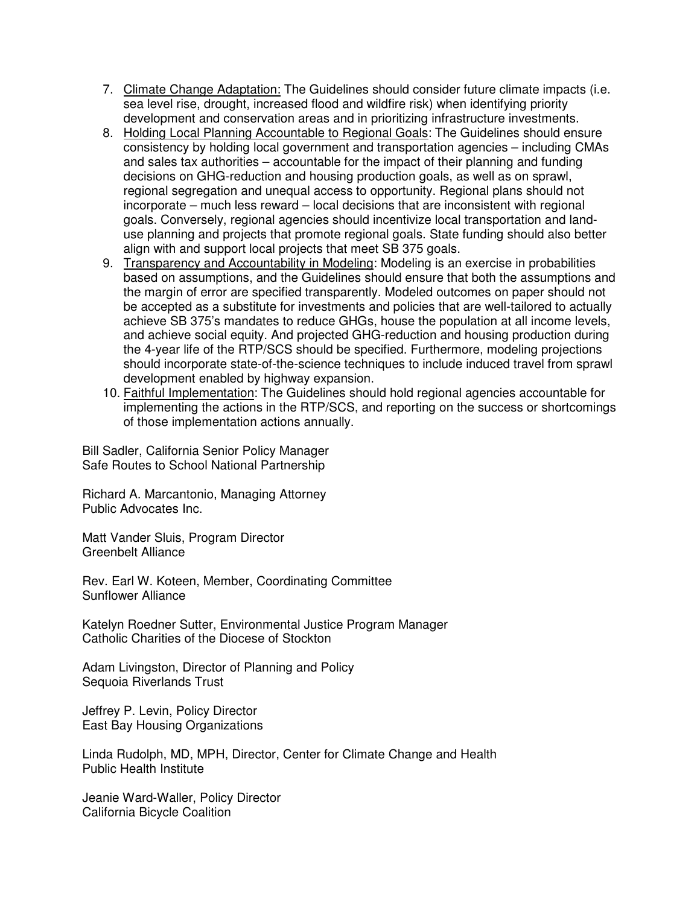- 7. Climate Change Adaptation: The Guidelines should consider future climate impacts (i.e. sea level rise, drought, increased flood and wildfire risk) when identifying priority development and conservation areas and in prioritizing infrastructure investments.
- 8. Holding Local Planning Accountable to Regional Goals: The Guidelines should ensure consistency by holding local government and transportation agencies – including CMAs and sales tax authorities – accountable for the impact of their planning and funding decisions on GHG-reduction and housing production goals, as well as on sprawl, regional segregation and unequal access to opportunity. Regional plans should not incorporate – much less reward – local decisions that are inconsistent with regional goals. Conversely, regional agencies should incentivize local transportation and landuse planning and projects that promote regional goals. State funding should also better align with and support local projects that meet SB 375 goals.
- 9. Transparency and Accountability in Modeling: Modeling is an exercise in probabilities based on assumptions, and the Guidelines should ensure that both the assumptions and the margin of error are specified transparently. Modeled outcomes on paper should not be accepted as a substitute for investments and policies that are well-tailored to actually achieve SB 375's mandates to reduce GHGs, house the population at all income levels, and achieve social equity. And projected GHG-reduction and housing production during the 4-year life of the RTP/SCS should be specified. Furthermore, modeling projections should incorporate state-of-the-science techniques to include induced travel from sprawl development enabled by highway expansion.
- 10. Faithful Implementation: The Guidelines should hold regional agencies accountable for implementing the actions in the RTP/SCS, and reporting on the success or shortcomings of those implementation actions annually.

Bill Sadler, California Senior Policy Manager Safe Routes to School National Partnership

Richard A. Marcantonio, Managing Attorney Public Advocates Inc.

Matt Vander Sluis, Program Director Greenbelt Alliance

Rev. Earl W. Koteen, Member, Coordinating Committee Sunflower Alliance

Katelyn Roedner Sutter, Environmental Justice Program Manager Catholic Charities of the Diocese of Stockton

Adam Livingston, Director of Planning and Policy Sequoia Riverlands Trust

Jeffrey P. Levin, Policy Director East Bay Housing Organizations

Linda Rudolph, MD, MPH, Director, Center for Climate Change and Health Public Health Institute

Jeanie Ward-Waller, Policy Director California Bicycle Coalition